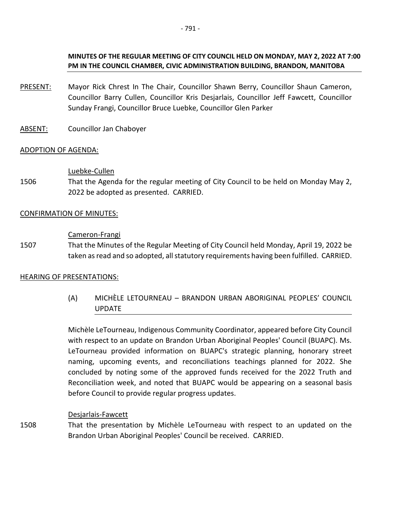**PM IN THE COUNCIL CHAMBER, CIVIC ADMINISTRATION BUILDING, BRANDON, MANITOBA**

- PRESENT: Mayor Rick Chrest In The Chair, Councillor Shawn Berry, Councillor Shaun Cameron, Councillor Barry Cullen, Councillor Kris Desjarlais, Councillor Jeff Fawcett, Councillor Sunday Frangi, Councillor Bruce Luebke, Councillor Glen Parker
- ABSENT: Councillor Jan Chaboyer

### ADOPTION OF AGENDA:

#### Luebke-Cullen

1506 That the Agenda for the regular meeting of City Council to be held on Monday May 2, 2022 be adopted as presented. CARRIED.

#### CONFIRMATION OF MINUTES:

#### Cameron-Frangi

1507 That the Minutes of the Regular Meeting of City Council held Monday, April 19, 2022 be taken as read and so adopted, all statutory requirements having been fulfilled. CARRIED.

#### HEARING OF PRESENTATIONS:

(A) MICHÈLE LETOURNEAU – BRANDON URBAN ABORIGINAL PEOPLES' COUNCIL UPDATE

Michèle LeTourneau, Indigenous Community Coordinator, appeared before City Council with respect to an update on Brandon Urban Aboriginal Peoples' Council (BUAPC). Ms. LeTourneau provided information on BUAPC's strategic planning, honorary street naming, upcoming events, and reconciliations teachings planned for 2022. She concluded by noting some of the approved funds received for the 2022 Truth and Reconciliation week, and noted that BUAPC would be appearing on a seasonal basis before Council to provide regular progress updates.

#### Desjarlais-Fawcett

1508 That the presentation by Michèle LeTourneau with respect to an updated on the Brandon Urban Aboriginal Peoples' Council be received. CARRIED.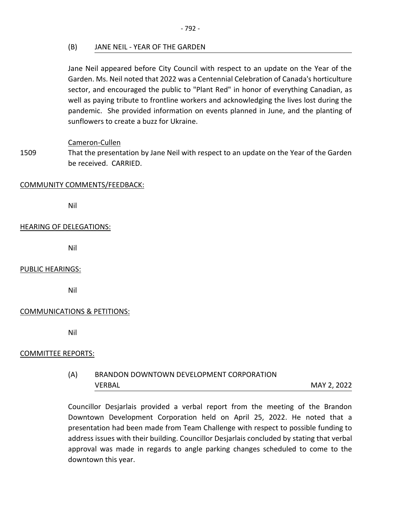(B) JANE NEIL - YEAR OF THE GARDEN

Jane Neil appeared before City Council with respect to an update on the Year of the Garden. Ms. Neil noted that 2022 was a Centennial Celebration of Canada's horticulture sector, and encouraged the public to "Plant Red" in honor of everything Canadian, as well as paying tribute to frontline workers and acknowledging the lives lost during the pandemic. She provided information on events planned in June, and the planting of sunflowers to create a buzz for Ukraine.

Cameron-Cullen

1509 That the presentation by Jane Neil with respect to an update on the Year of the Garden be received. CARRIED.

#### COMMUNITY COMMENTS/FEEDBACK:

Nil

#### HEARING OF DELEGATIONS:

Nil

#### PUBLIC HEARINGS:

Nil

#### COMMUNICATIONS & PETITIONS:

Nil

#### COMMITTEE REPORTS:

# (A) BRANDON DOWNTOWN DEVELOPMENT CORPORATION VERBAL MAY 2, 2022

Councillor Desjarlais provided a verbal report from the meeting of the Brandon Downtown Development Corporation held on April 25, 2022. He noted that a presentation had been made from Team Challenge with respect to possible funding to address issues with their building. Councillor Desjarlais concluded by stating that verbal approval was made in regards to angle parking changes scheduled to come to the downtown this year.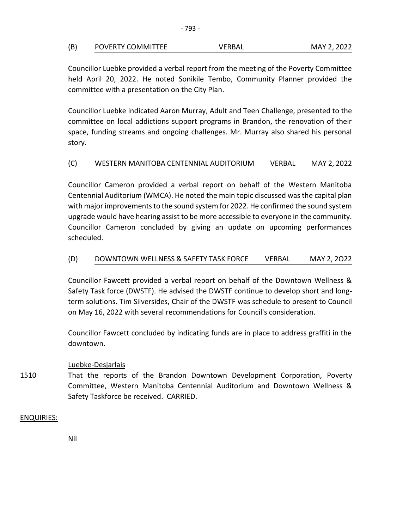| (B) | POVERTY COMMITTEE | VERBAL | MAY 2, 2022 |
|-----|-------------------|--------|-------------|
|     |                   |        |             |

Councillor Luebke provided a verbal report from the meeting of the Poverty Committee held April 20, 2022. He noted Sonikile Tembo, Community Planner provided the committee with a presentation on the City Plan.

Councillor Luebke indicated Aaron Murray, Adult and Teen Challenge, presented to the committee on local addictions support programs in Brandon, the renovation of their space, funding streams and ongoing challenges. Mr. Murray also shared his personal story.

### (C) WESTERN MANITOBA CENTENNIAL AUDITORIUM VERBAL MAY 2, 2022

Councillor Cameron provided a verbal report on behalf of the Western Manitoba Centennial Auditorium (WMCA). He noted the main topic discussed was the capital plan with major improvements to the sound system for 2022. He confirmed the sound system upgrade would have hearing assist to be more accessible to everyone in the community. Councillor Cameron concluded by giving an update on upcoming performances scheduled.

### (D) DOWNTOWN WELLNESS & SAFETY TASK FORCE VERBAL MAY 2, 2O22

Councillor Fawcett provided a verbal report on behalf of the Downtown Wellness & Safety Task force (DWSTF). He advised the DWSTF continue to develop short and longterm solutions. Tim Silversides, Chair of the DWSTF was schedule to present to Council on May 16, 2022 with several recommendations for Council's consideration.

Councillor Fawcett concluded by indicating funds are in place to address graffiti in the downtown.

#### Luebke-Desjarlais

1510 That the reports of the Brandon Downtown Development Corporation, Poverty Committee, Western Manitoba Centennial Auditorium and Downtown Wellness & Safety Taskforce be received. CARRIED.

#### ENQUIRIES:

Nil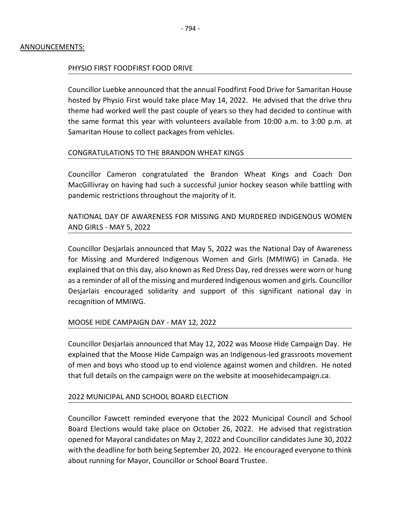#### PHYSIO FIRST FOODFIRST FOOD DRIVE

Councillor Luebke announced that the annual Foodfirst Food Drive for Samaritan House hosted by Physio First would take place May 14, 2022. He advised that the drive thru theme had worked well the past couple of years so they had decided to continue with the same format this year with volunteers available from 10:00 a.m. to 3:00 p.m. at Samaritan House to collect packages from vehicles.

#### CONGRATULATIONS TO THE BRANDON WHEAT KINGS

Councillor Cameron congratulated the Brandon Wheat Kings and Coach Don MacGillivray on having had such a successful junior hockey season while battling with pandemic restrictions throughout the majority of it.

NATIONAL DAY OF AWARENESS FOR MISSING AND MURDERED INDIGENOUS WOMEN AND GIRLS - MAY 5, 2022

Councillor Desjarlais announced that May 5, 2022 was the National Day of Awareness for Missing and Murdered Indigenous Women and Girls (MMIWG) in Canada. He explained that on this day, also known as Red Dress Day, red dresses were worn or hung as a reminder of all of the missing and murdered Indigenous women and girls. Councillor Desjarlais encouraged solidarity and support of this significant national day in recognition of MMIWG.

#### MOOSE HIDE CAMPAIGN DAY - MAY 12, 2022

Councillor Desjarlais announced that May 12, 2022 was Moose Hide Campaign Day. He explained that the Moose Hide Campaign was an Indigenous-led grassroots movement of men and boys who stood up to end violence against women and children. He noted that full details on the campaign were on the website at moosehidecampaign.ca.

#### 2022 MUNICIPAL AND SCHOOL BOARD ELECTION

Councillor Fawcett reminded everyone that the 2022 Municipal Council and School Board Elections would take place on October 26, 2022. He advised that registration opened for Mayoral candidates on May 2, 2022 and Councillor candidates June 30, 2022 with the deadline for both being September 20, 2022. He encouraged everyone to think about running for Mayor, Councillor or School Board Trustee.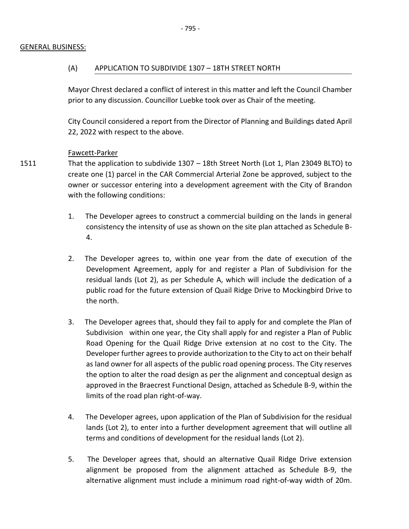#### GENERAL BUSINESS:

#### (A) APPLICATION TO SUBDIVIDE 1307 – 18TH STREET NORTH

 Mayor Chrest declared a conflict of interest in this matter and left the Council Chamber prior to any discussion. Councillor Luebke took over as Chair of the meeting.

City Council considered a report from the Director of Planning and Buildings dated April 22, 2022 with respect to the above.

#### Fawcett-Parker

- 1511 That the application to subdivide 1307 – 18th Street North (Lot 1, Plan 23049 BLTO) to create one (1) parcel in the CAR Commercial Arterial Zone be approved, subject to the owner or successor entering into a development agreement with the City of Brandon with the following conditions:
	- 1. The Developer agrees to construct a commercial building on the lands in general consistency the intensity of use as shown on the site plan attached as Schedule B-4.
	- 2. The Developer agrees to, within one year from the date of execution of the Development Agreement, apply for and register a Plan of Subdivision for the residual lands (Lot 2), as per Schedule A, which will include the dedication of a public road for the future extension of Quail Ridge Drive to Mockingbird Drive to the north.
	- 3. The Developer agrees that, should they fail to apply for and complete the Plan of Subdivision within one year, the City shall apply for and register a Plan of Public Road Opening for the Quail Ridge Drive extension at no cost to the City. The Developer further agrees to provide authorization to the City to act on their behalf as land owner for all aspects of the public road opening process. The City reserves the option to alter the road design as per the alignment and conceptual design as approved in the Braecrest Functional Design, attached as Schedule B-9, within the limits of the road plan right-of-way.
	- 4. The Developer agrees, upon application of the Plan of Subdivision for the residual lands (Lot 2), to enter into a further development agreement that will outline all terms and conditions of development for the residual lands (Lot 2).
	- 5. The Developer agrees that, should an alternative Quail Ridge Drive extension alignment be proposed from the alignment attached as Schedule B-9, the alternative alignment must include a minimum road right-of-way width of 20m.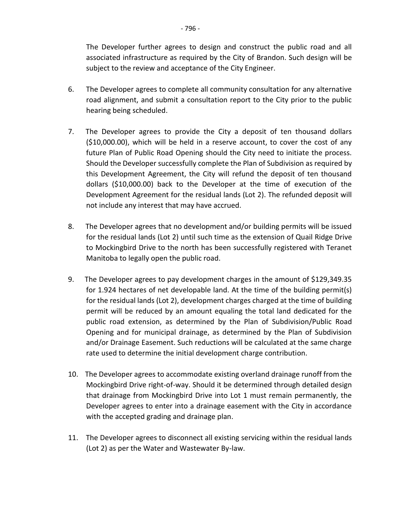The Developer further agrees to design and construct the public road and all associated infrastructure as required by the City of Brandon. Such design will be subject to the review and acceptance of the City Engineer.

- 6. The Developer agrees to complete all community consultation for any alternative road alignment, and submit a consultation report to the City prior to the public hearing being scheduled.
- 7. The Developer agrees to provide the City a deposit of ten thousand dollars (\$10,000.00), which will be held in a reserve account, to cover the cost of any future Plan of Public Road Opening should the City need to initiate the process. Should the Developer successfully complete the Plan of Subdivision as required by this Development Agreement, the City will refund the deposit of ten thousand dollars (\$10,000.00) back to the Developer at the time of execution of the Development Agreement for the residual lands (Lot 2). The refunded deposit will not include any interest that may have accrued.
- 8. The Developer agrees that no development and/or building permits will be issued for the residual lands (Lot 2) until such time as the extension of Quail Ridge Drive to Mockingbird Drive to the north has been successfully registered with Teranet Manitoba to legally open the public road.
- 9. The Developer agrees to pay development charges in the amount of \$129,349.35 for 1.924 hectares of net developable land. At the time of the building permit(s) for the residual lands (Lot 2), development charges charged at the time of building permit will be reduced by an amount equaling the total land dedicated for the public road extension, as determined by the Plan of Subdivision/Public Road Opening and for municipal drainage, as determined by the Plan of Subdivision and/or Drainage Easement. Such reductions will be calculated at the same charge rate used to determine the initial development charge contribution.
- 10. The Developer agrees to accommodate existing overland drainage runoff from the Mockingbird Drive right-of-way. Should it be determined through detailed design that drainage from Mockingbird Drive into Lot 1 must remain permanently, the Developer agrees to enter into a drainage easement with the City in accordance with the accepted grading and drainage plan.
- 11. The Developer agrees to disconnect all existing servicing within the residual lands (Lot 2) as per the Water and Wastewater By-law.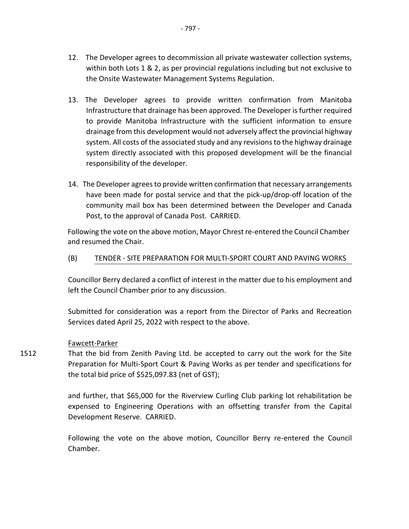- 12. The Developer agrees to decommission all private wastewater collection systems, within both Lots 1 & 2, as per provincial regulations including but not exclusive to the Onsite Wastewater Management Systems Regulation.
- 13. The Developer agrees to provide written confirmation from Manitoba Infrastructure that drainage has been approved. The Developer is further required to provide Manitoba Infrastructure with the sufficient information to ensure drainage from this development would not adversely affect the provincial highway system. All costs of the associated study and any revisions to the highway drainage system directly associated with this proposed development will be the financial responsibility of the developer.
- 14. The Developer agrees to provide written confirmation that necessary arrangements have been made for postal service and that the pick-up/drop-off location of the community mail box has been determined between the Developer and Canada Post, to the approval of Canada Post. CARRIED.

Following the vote on the above motion, Mayor Chrest re-entered the Council Chamber and resumed the Chair.

#### (B) TENDER - SITE PREPARATION FOR MULTI-SPORT COURT AND PAVING WORKS

Councillor Berry declared a conflict of interest in the matter due to his employment and left the Council Chamber prior to any discussion.

Submitted for consideration was a report from the Director of Parks and Recreation Services dated April 25, 2022 with respect to the above.

#### Fawcett-Parker

1512 That the bid from Zenith Paving Ltd. be accepted to carry out the work for the Site Preparation for Multi-Sport Court & Paving Works as per tender and specifications for the total bid price of \$525,097.83 (net of GST);

> and further, that \$65,000 for the Riverview Curling Club parking lot rehabilitation be expensed to Engineering Operations with an offsetting transfer from the Capital Development Reserve. CARRIED.

> Following the vote on the above motion, Councillor Berry re-entered the Council Chamber.